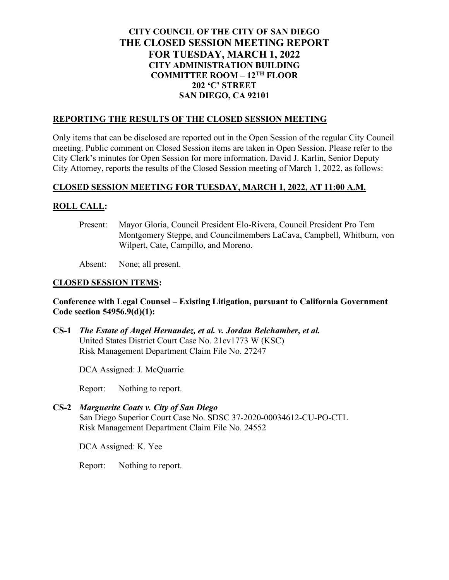# **CITY COUNCIL OF THE CITY OF SAN DIEGO THE CLOSED SESSION MEETING REPORT FOR TUESDAY, MARCH 1, 2022 CITY ADMINISTRATION BUILDING COMMITTEE ROOM – 12TH FLOOR 202 'C' STREET SAN DIEGO, CA 92101**

#### **REPORTING THE RESULTS OF THE CLOSED SESSION MEETING**

Only items that can be disclosed are reported out in the Open Session of the regular City Council meeting. Public comment on Closed Session items are taken in Open Session. Please refer to the City Clerk's minutes for Open Session for more information. David J. Karlin, Senior Deputy City Attorney, reports the results of the Closed Session meeting of March 1, 2022, as follows:

## **CLOSED SESSION MEETING FOR TUESDAY, MARCH 1, 2022, AT 11:00 A.M.**

## **ROLL CALL:**

Present: Mayor Gloria, Council President Elo-Rivera, Council President Pro Tem Montgomery Steppe, and Councilmembers LaCava, Campbell, Whitburn, von Wilpert, Cate, Campillo, and Moreno.

Absent: None; all present.

## **CLOSED SESSION ITEMS:**

## **Conference with Legal Counsel – Existing Litigation, pursuant to California Government Code section 54956.9(d)(1):**

**CS-1** *The Estate of Angel Hernandez, et al. v. Jordan Belchamber, et al.* United States District Court Case No. 21cv1773 W (KSC) Risk Management Department Claim File No. 27247

DCA Assigned: J. McQuarrie

Report: Nothing to report.

**CS-2** *Marguerite Coats v. City of San Diego* San Diego Superior Court Case No. SDSC 37-2020-00034612-CU-PO-CTL Risk Management Department Claim File No. 24552

DCA Assigned: K. Yee

Report: Nothing to report.